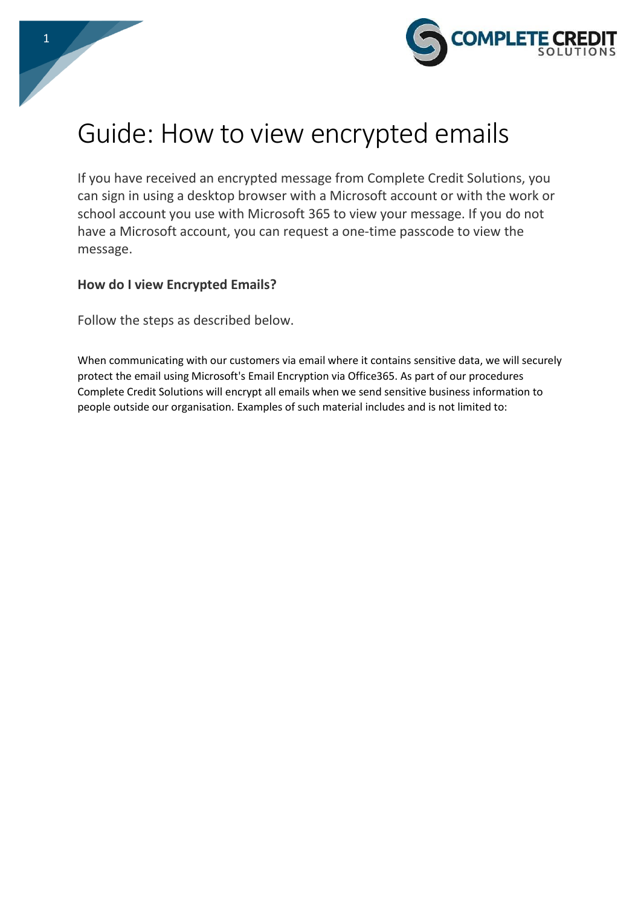

# Guide: How to view encrypted emails

If you have received an encrypted message from Complete Credit Solutions, you can sign in using a desktop browser with a Microsoft account or with the work or school account you use with Microsoft 365 to view your message. If you do not have a Microsoft account, you can request a one-time passcode to view the message.

### **How do I view Encrypted Emails?**

Follow the steps as described below.

When communicating with our customers via email where it contains sensitive data, we will securely protect the email using Microsoft's Email Encryption via Office365. As part of our procedures Complete Credit Solutions will encrypt all emails when we send sensitive business information to people outside our organisation. Examples of such material includes and is not limited to: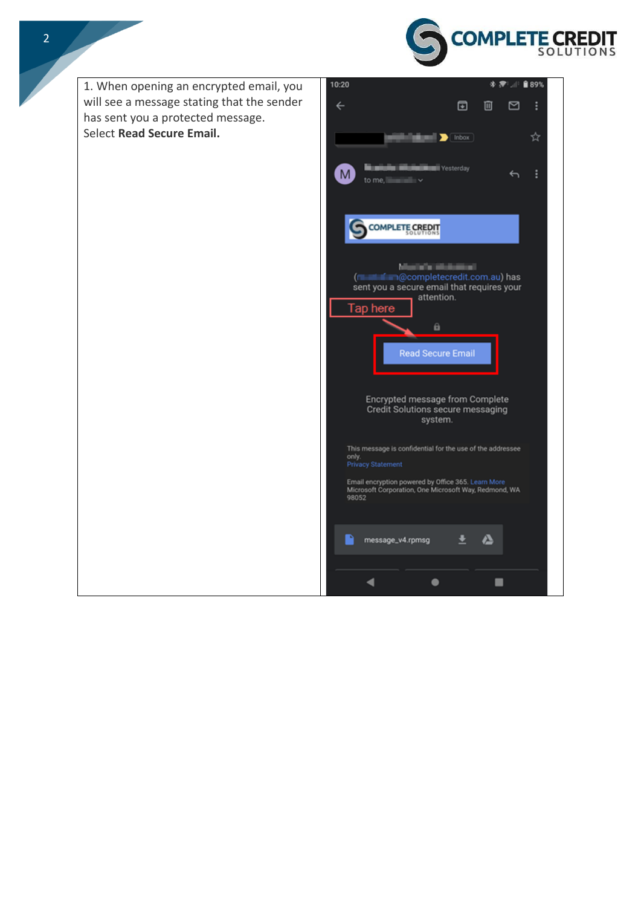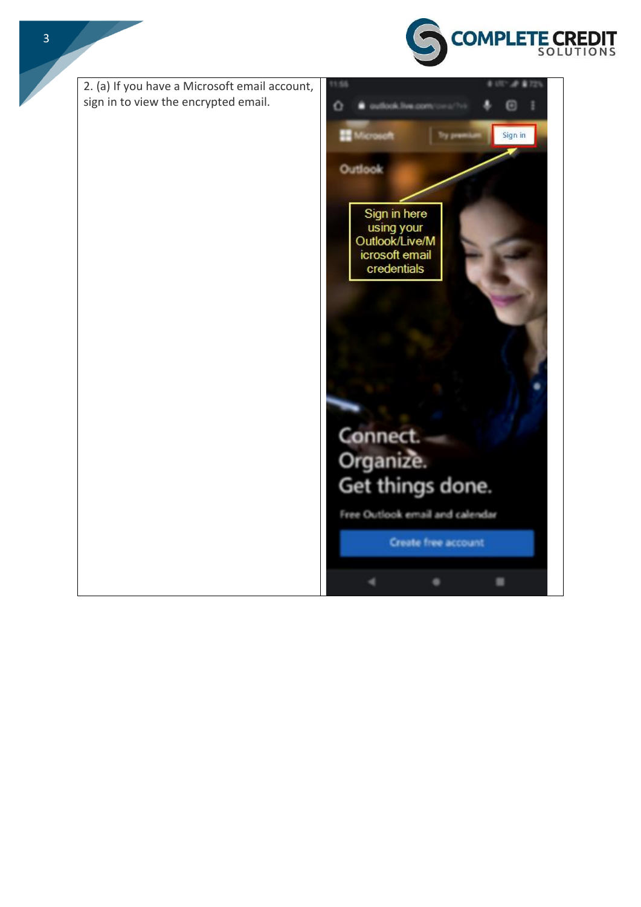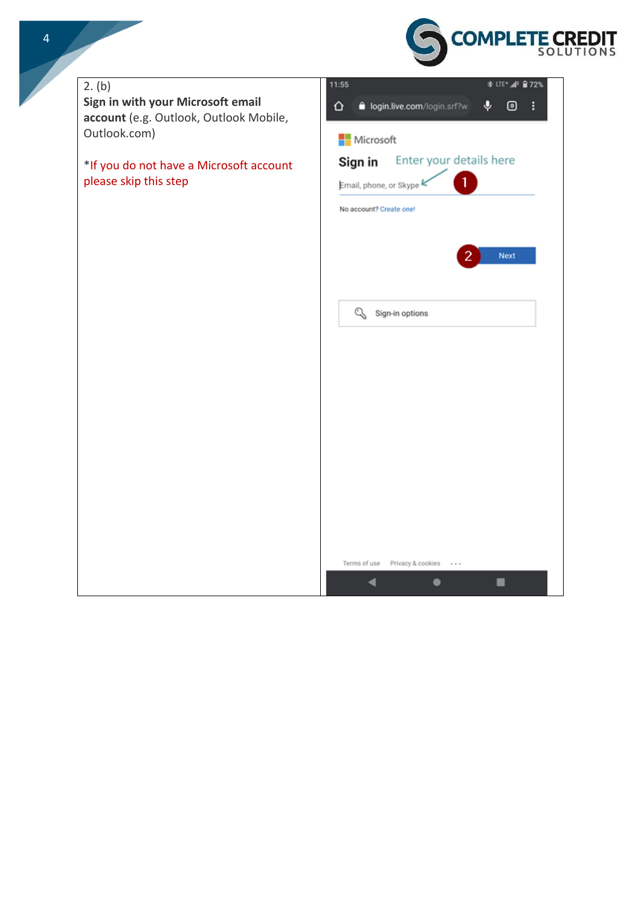

# 11:55 \* UTE+⊿P ■72% 2. (b) **Sign in with your Microsoft email**   $\ddot{\mathbf{v}}$ **@** : ⇧ login.live.com/login.srf?w **account** (e.g. Outlook, Outlook Mobile, Outlook.com) Microsoft Sign in Enter your details here \*If you do not have a Microsoft account please skip this step $\mathbf{1}$ Email, phone, or Skype k No account? Create one! Next Sign-in options

Terms of use Privacy & cookies

 $\blacktriangleleft$ 

 $\cdots$ 

■

 $\bullet$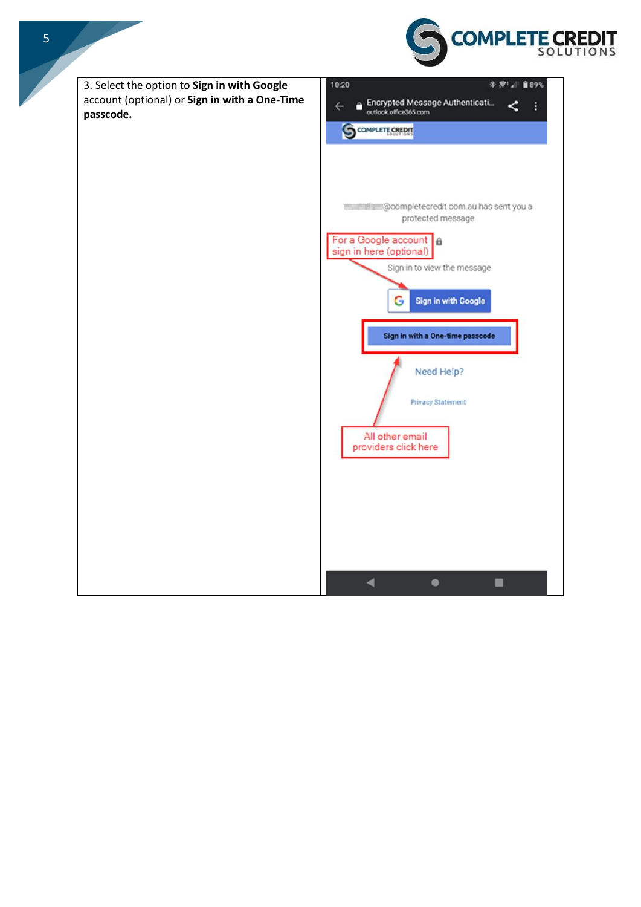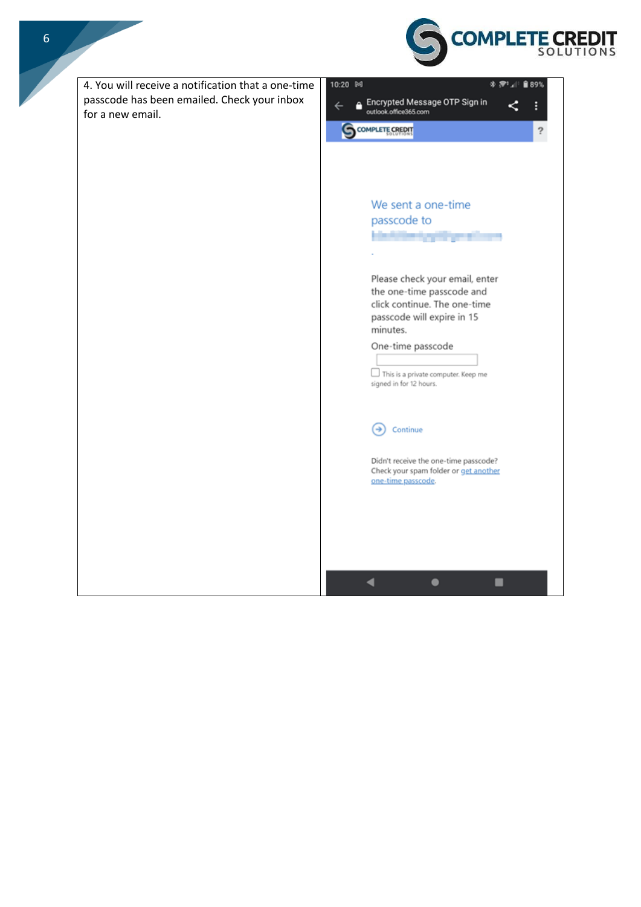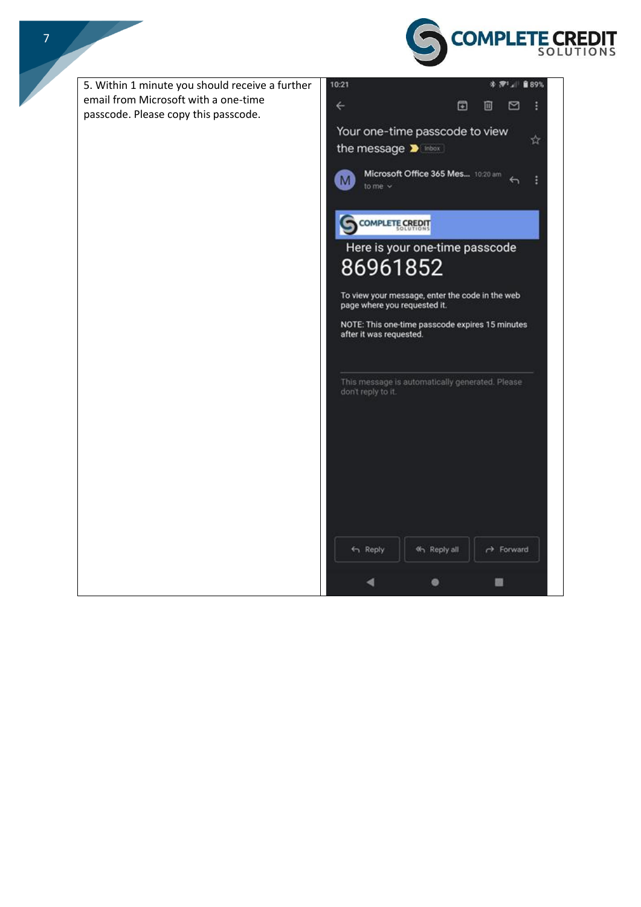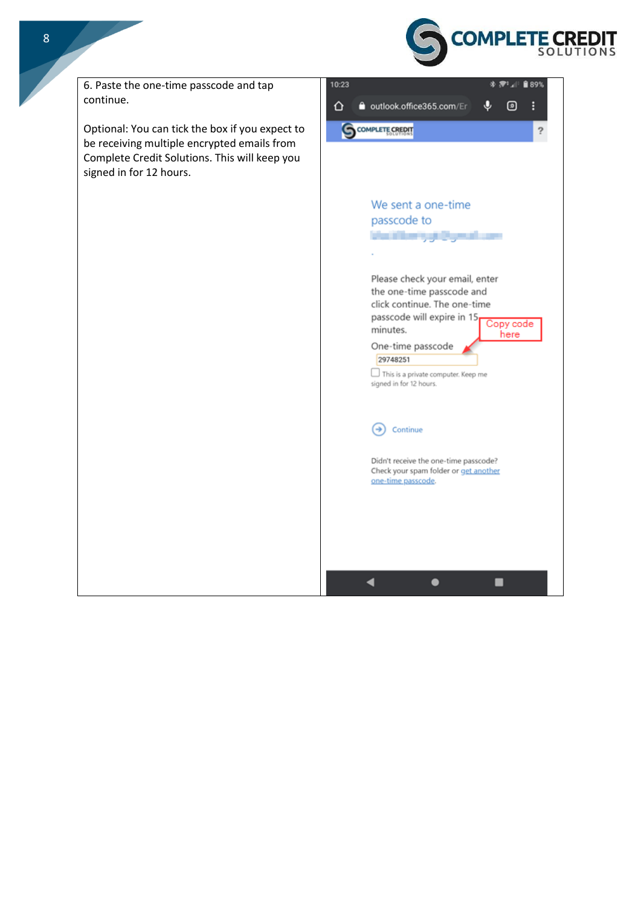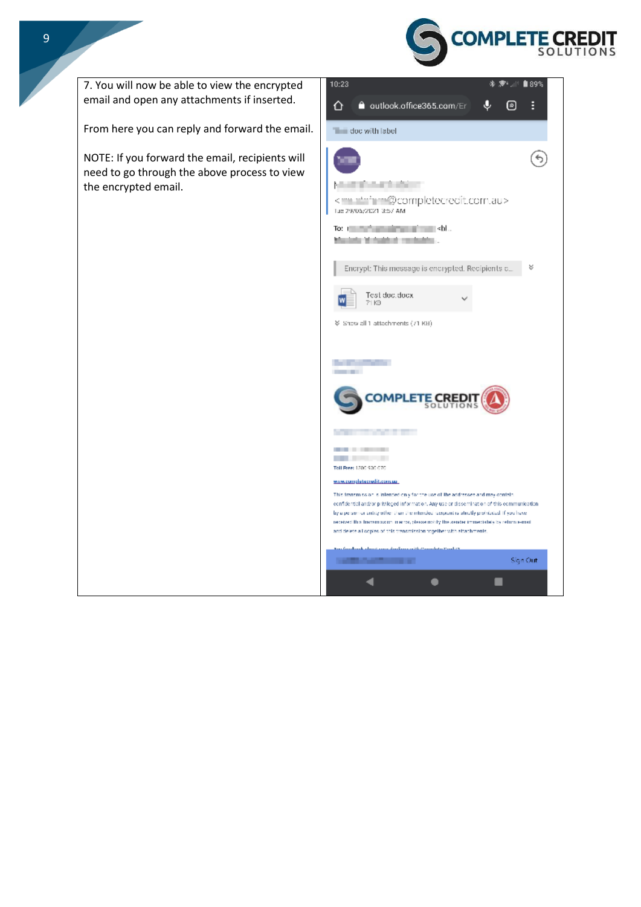



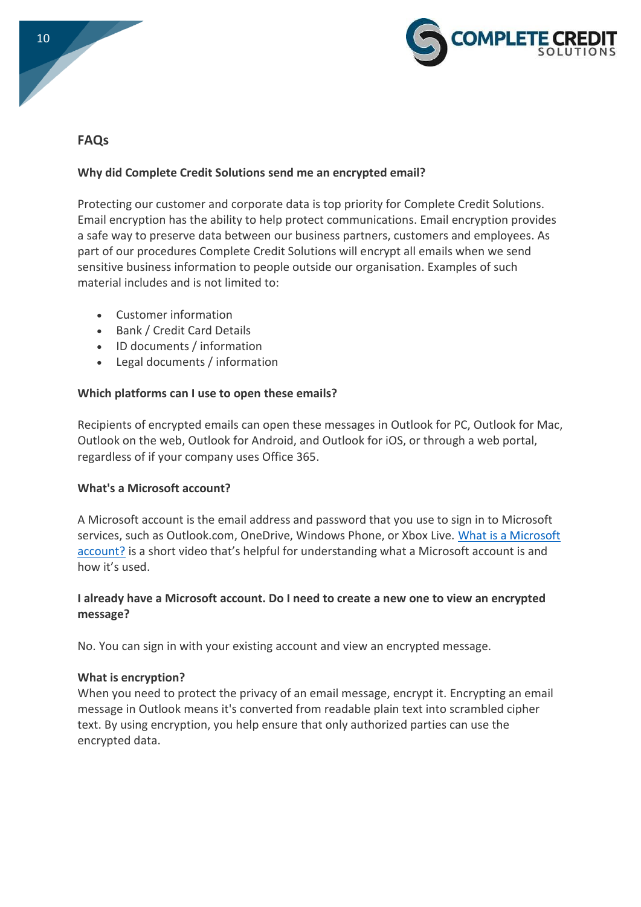



## **FAQs**

#### **Why did Complete Credit Solutions send me an encrypted email?**

Protecting our customer and corporate data is top priority for Complete Credit Solutions. Email encryption has the ability to help protect communications. Email encryption provides a safe way to preserve data between our business partners, customers and employees. As part of our procedures Complete Credit Solutions will encrypt all emails when we send sensitive business information to people outside our organisation. Examples of such material includes and is not limited to:

- Customer information
- Bank / Credit Card Details
- ID documents / information
- Legal documents / information

#### **Which platforms can I use to open these emails?**

Recipients of encrypted emails can open these messages in Outlook for PC, Outlook for Mac, Outlook on the web, Outlook for Android, and Outlook for iOS, or through a web portal, regardless of if your company uses Office 365.

#### **What's a Microsoft account?**

A Microsoft account is the email address and password that you use to sign in to Microsoft services, such as Outlook.com, OneDrive, Windows Phone, or Xbox Live. [What is a Microsoft](https://windows.microsoft.com/en-us/windows-live/sign-in-what-is-microsoft-account)  [account?](https://windows.microsoft.com/en-us/windows-live/sign-in-what-is-microsoft-account) is a short video that's helpful for understanding what a Microsoft account is and how it's used.

#### **I already have a Microsoft account. Do I need to create a new one to view an encrypted message?**

No. You can sign in with your existing account and view an encrypted message.

#### **What is encryption?**

When you need to protect the privacy of an email message, encrypt it. Encrypting an email message in Outlook means it's converted from readable plain text into scrambled cipher text. By using encryption, you help ensure that only authorized parties can use the encrypted data.